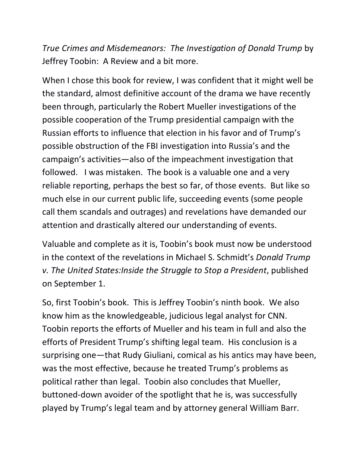*True Crimes and Misdemeanors: The Investigation of Donald Trump* by Jeffrey Toobin: A Review and a bit more.

When I chose this book for review, I was confident that it might well be the standard, almost definitive account of the drama we have recently been through, particularly the Robert Mueller investigations of the possible cooperation of the Trump presidential campaign with the Russian efforts to influence that election in his favor and of Trump's possible obstruction of the FBI investigation into Russia's and the campaign's activities—also of the impeachment investigation that followed. I was mistaken. The book is a valuable one and a very reliable reporting, perhaps the best so far, of those events. But like so much else in our current public life, succeeding events (some people call them scandals and outrages) and revelations have demanded our attention and drastically altered our understanding of events.

Valuable and complete as it is, Toobin's book must now be understood in the context of the revelations in Michael S. Schmidt's *Donald Trump v. The United States:Inside the Struggle to Stop a President*,published on September 1.

So, first Toobin's book. This is Jeffrey Toobin's ninth book. We also know him as the knowledgeable, judicious legal analyst for CNN. Toobin reports the efforts of Mueller and his team in full and also the efforts of President Trump's shifting legal team. His conclusion is a surprising one—that Rudy Giuliani, comical as his antics may have been, was the most effective, because he treated Trump's problems as political rather than legal. Toobin also concludes that Mueller, buttoned-down avoider of the spotlight that he is, was successfully played by Trump's legal team and by attorney general William Barr.